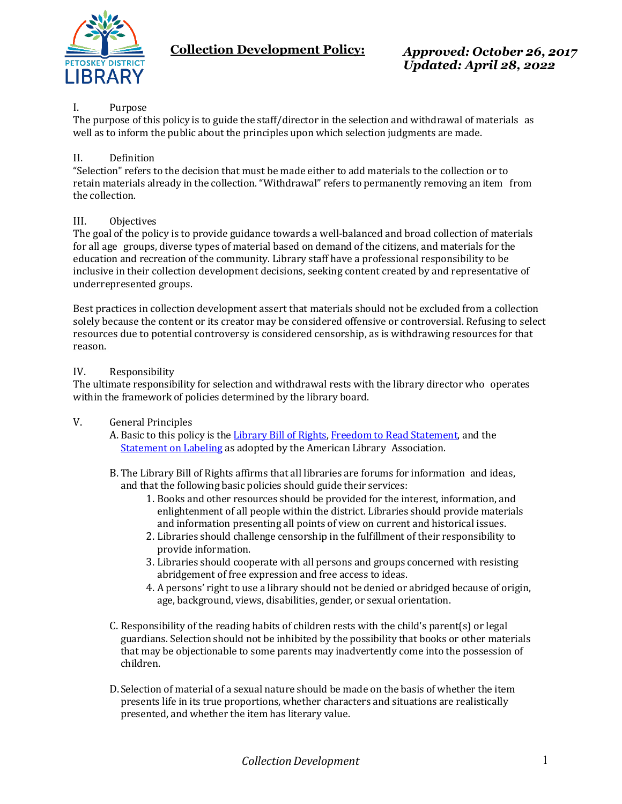

**Collection Development Policy:** *Approved: October 26, 2017*

## I. Purpose

The purpose of this policy is to guide the staff/director in the selection and withdrawal of materials as well as to inform the public about the principles upon which selection judgments are made.

#### II. Definition

"Selection" refers to the decision that must be made either to add materials to the collection or to retain materials already in the collection. "Withdrawal" refers to permanently removing an item from the collection.

### III. Objectives

The goal of the policy is to provide guidance towards a well-balanced and broad collection of materials for all age groups, diverse types of material based on demand of the citizens, and materials for the education and recreation of the community. Library staff have a professional responsibility to be inclusive in their collection development decisions, seeking content created by and representative of underrepresented groups.

Best practices in collection development assert that materials should not be excluded from a collection solely because the content or its creator may be considered offensive or controversial. Refusing to select resources due to potential controversy is considered censorship, as is withdrawing resources for that reason.

#### IV. Responsibility

The ultimate responsibility for selection and withdrawal rests with the library director who operates within the framework of policies determined by the library board.

- V. General Principles
	- A. Basic to this policy is the [Library](http://www.ala.org/advocacy/intfreedom/librarybill/) Bill of Rights, [Freedom to Read Statement,](http://www.ala.org/advocacy/intfreedom/statementspols/freedomreadstatement) and the [Statement on Labeling](http://www.ala.org/advocacy/intfreedom/librarybill/interpretations/labelingrating) as adopted by the American Library Association.
	- B. The Library Bill of Rights affirms that all libraries are forums for information and ideas, and that the following basic policies should guide their services:
		- 1. Books and other resources should be provided for the interest, information, and enlightenment of all people within the district. Libraries should provide materials and information presenting all points of view on current and historical issues.
		- 2. Libraries should challenge censorship in the fulfillment of their responsibility to provide information.
		- 3. Libraries should cooperate with all persons and groups concerned with resisting abridgement of free expression and free access to ideas.
		- 4. A persons' right to use a library should not be denied or abridged because of origin, age, background, views, disabilities, gender, or sexual orientation.
	- C. Responsibility of the reading habits of children rests with the child's parent(s) or legal guardians. Selection should not be inhibited by the possibility that books or other materials that may be objectionable to some parents may inadvertently come into the possession of children.
	- D.Selection of material of a sexual nature should be made on the basis of whether the item presents life in its true proportions, whether characters and situations are realistically presented, and whether the item has literary value.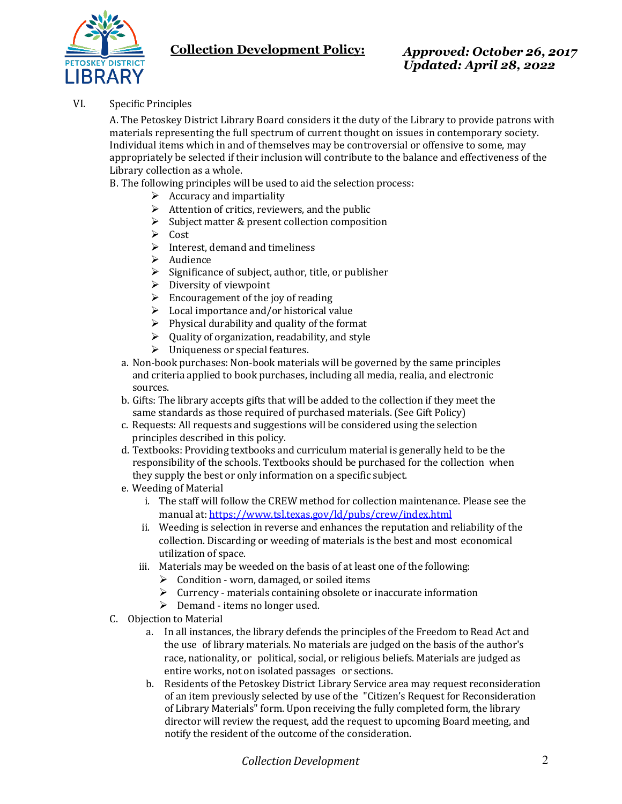

# **Collection Development Policy:** *Approved: October 26, 2017*

*Updated: April 28, 2022*

VI. Specific Principles

A. The Petoskey District Library Board considers it the duty of the Library to provide patrons with materials representing the full spectrum of current thought on issues in contemporary society. Individual items which in and of themselves may be controversial or offensive to some, may appropriately be selected if their inclusion will contribute to the balance and effectiveness of the Library collection as a whole.

B. The following principles will be used to aid the selection process:

- $\triangleright$  Accuracy and impartiality
- $\triangleright$  Attention of critics, reviewers, and the public
- $\triangleright$  Subject matter & present collection composition
- $\triangleright$  Cost
- $\triangleright$  Interest, demand and timeliness
- $\triangleright$  Audience
- $\triangleright$  Significance of subject, author, title, or publisher
- $\triangleright$  Diversity of viewpoint
- $\triangleright$  Encouragement of the joy of reading
- $\triangleright$  Local importance and/or historical value
- $\triangleright$  Physical durability and quality of the format
- $\triangleright$  Ouality of organization, readability, and style
- > Uniqueness or special features.
- a. Non-book purchases: Non-book materials will be governed by the same principles and criteria applied to book purchases, including all media, realia, and electronic sources.
- b. Gifts: The library accepts gifts that will be added to the collection if they meet the same standards as those required of purchased materials. (See Gift Policy)
- c. Requests: All requests and suggestions will be considered using the selection principles described in this policy.
- d. Textbooks: Providing textbooks and curriculum material is generally held to be the responsibility of the schools. Textbooks should be purchased for the collection when they supply the best or only information on a specific subject.
- e. Weeding of Material
	- i. The staff will follow the CREW method for collection maintenance. Please see the manual at[: https://www.tsl.texas.gov/ld/pubs/crew/index.html](https://www.tsl.texas.gov/ld/pubs/crew/index.html)
	- ii. Weeding is selection in reverse and enhances the reputation and reliability of the collection. Discarding or weeding of materials is the best and most economical utilization of space.
	- iii. Materials may be weeded on the basis of at least one of the following:
		- $\triangleright$  Condition worn, damaged, or soiled items
		- $\triangleright$  Currency materials containing obsolete or inaccurate information
		- $\triangleright$  Demand items no longer used.
- C. Objection to Material
	- a. In all instances, the library defends the principles of the Freedom to Read Act and the use of library materials. No materials are judged on the basis of the author's race, nationality, or political, social, or religious beliefs. Materials are judged as entire works, not on isolated passages or sections.
	- b. Residents of the Petoskey District Library Service area may request reconsideration of an item previously selected by use of the "Citizen's Request for Reconsideration of Library Materials" form. Upon receiving the fully completed form, the library director will review the request, add the request to upcoming Board meeting, and notify the resident of the outcome of the consideration.

*CollectionDevelopment* 2